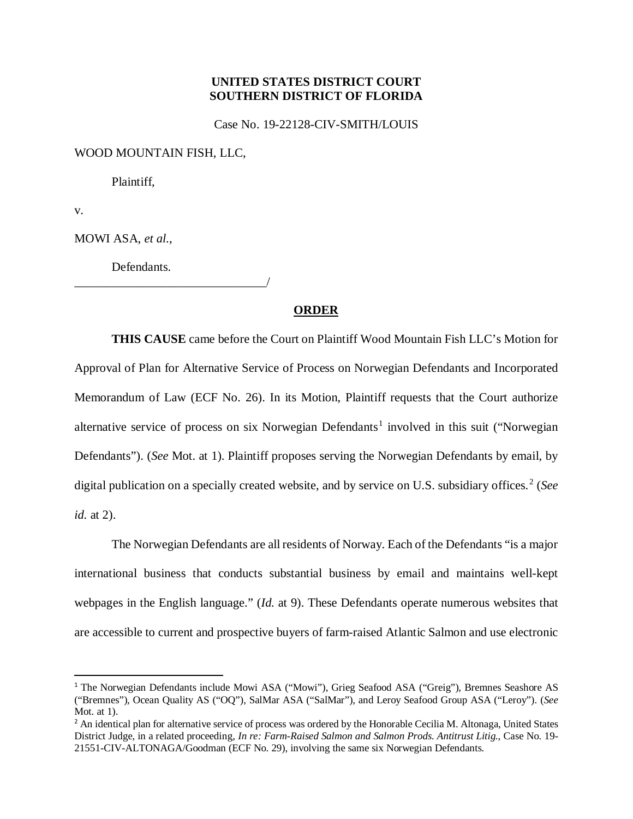## **UNITED STATES DISTRICT COURT SOUTHERN DISTRICT OF FLORIDA**

Case No. 19-22128-CIV-SMITH/LOUIS

WOOD MOUNTAIN FISH, LLC,

Plaintiff,

v.

MOWI ASA, *et al.*,

Defendants.

\_\_\_\_\_\_\_\_\_\_\_\_\_\_\_\_\_\_\_\_\_\_\_\_\_\_\_\_\_\_\_/

## **ORDER**

**THIS CAUSE** came before the Court on Plaintiff Wood Mountain Fish LLC's Motion for Approval of Plan for Alternative Service of Process on Norwegian Defendants and Incorporated Memorandum of Law (ECF No. 26). In its Motion, Plaintiff requests that the Court authorize alternative service of process on six Norwegian Defendants<sup>[1](#page-0-0)</sup> involved in this suit ("Norwegian Defendants"). (*See* Mot. at 1). Plaintiff proposes serving the Norwegian Defendants by email, by digital publication on a specially created website, and by service on U.S. subsidiary offices.<sup>[2](#page-0-1)</sup> (*See id.* at 2).

The Norwegian Defendants are all residents of Norway. Each of the Defendants "is a major international business that conducts substantial business by email and maintains well-kept webpages in the English language." (*Id.* at 9). These Defendants operate numerous websites that are accessible to current and prospective buyers of farm-raised Atlantic Salmon and use electronic

<span id="page-0-0"></span> <sup>1</sup> The Norwegian Defendants include Mowi ASA ("Mowi"), Grieg Seafood ASA ("Greig"), Bremnes Seashore AS ("Bremnes"), Ocean Quality AS ("OQ"), SalMar ASA ("SalMar"), and Leroy Seafood Group ASA ("Leroy"). (*See*  Mot. at 1).

<span id="page-0-1"></span><sup>&</sup>lt;sup>2</sup> An identical plan for alternative service of process was ordered by the Honorable Cecilia M. Altonaga, United States District Judge, in a related proceeding, *In re: Farm-Raised Salmon and Salmon Prods. Antitrust Litig.*, Case No. 19- 21551-CIV-ALTONAGA/Goodman (ECF No. 29), involving the same six Norwegian Defendants.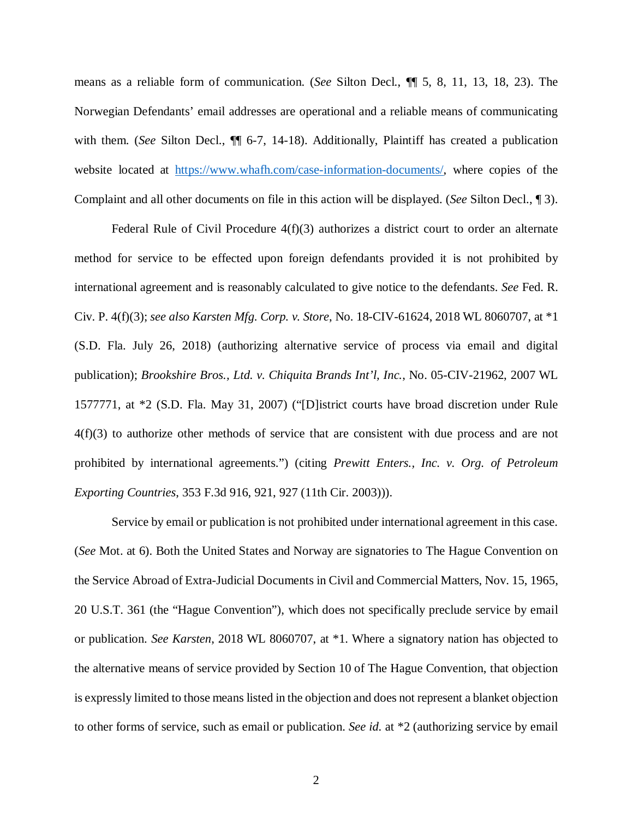means as a reliable form of communication. (*See* Silton Decl., ¶¶ 5, 8, 11, 13, 18, 23). The Norwegian Defendants' email addresses are operational and a reliable means of communicating with them. (*See Silton Decl.,*  $\P$  6-7, 14-18). Additionally, Plaintiff has created a publication website located at [https://www.whafh.com/case-information-documents/,](https://www.whafh.com/case-information-documents/) where copies of the Complaint and all other documents on file in this action will be displayed. (*See* Silton Decl., ¶ 3).

Federal Rule of Civil Procedure  $4(f)(3)$  authorizes a district court to order an alternate method for service to be effected upon foreign defendants provided it is not prohibited by international agreement and is reasonably calculated to give notice to the defendants. *See* Fed. R. Civ. P. 4(f)(3); *see also Karsten Mfg. Corp. v. Store*, No. 18-CIV-61624, 2018 WL 8060707, at \*1 (S.D. Fla. July 26, 2018) (authorizing alternative service of process via email and digital publication); *Brookshire Bros., Ltd. v. Chiquita Brands Int'l, Inc.*, No. 05-CIV-21962, 2007 WL 1577771, at \*2 (S.D. Fla. May 31, 2007) ("[D]istrict courts have broad discretion under Rule 4(f)(3) to authorize other methods of service that are consistent with due process and are not prohibited by international agreements.") (citing *Prewitt Enters., Inc. v. Org. of Petroleum Exporting Countries*, 353 F.3d 916, 921, 927 (11th Cir. 2003))).

Service by email or publication is not prohibited under international agreement in this case. (*See* Mot. at 6). Both the United States and Norway are signatories to The Hague Convention on the Service Abroad of Extra-Judicial Documents in Civil and Commercial Matters, Nov. 15, 1965, 20 U.S.T. 361 (the "Hague Convention"), which does not specifically preclude service by email or publication. *See Karsten*, 2018 WL 8060707, at \*1. Where a signatory nation has objected to the alternative means of service provided by Section 10 of The Hague Convention, that objection is expressly limited to those means listed in the objection and does not represent a blanket objection to other forms of service, such as email or publication. *See id.* at \*2 (authorizing service by email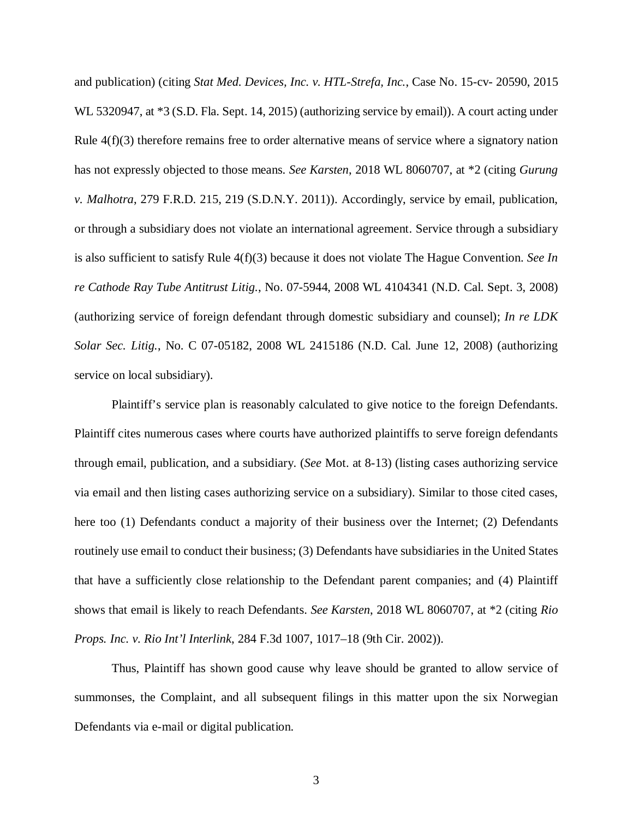and publication) (citing *Stat Med. Devices, Inc. v. HTL-Strefa, Inc.*, Case No. 15-cv- 20590, 2015 WL 5320947, at \*3 (S.D. Fla. Sept. 14, 2015) (authorizing service by email)). A court acting under Rule  $4(f)(3)$  therefore remains free to order alternative means of service where a signatory nation has not expressly objected to those means. *See Karsten*, 2018 WL 8060707, at \*2 (citing *Gurung v. Malhotra*, 279 F.R.D. 215, 219 (S.D.N.Y. 2011)). Accordingly, service by email, publication, or through a subsidiary does not violate an international agreement. Service through a subsidiary is also sufficient to satisfy Rule 4(f)(3) because it does not violate The Hague Convention. *See In re Cathode Ray Tube Antitrust Litig.*, No. 07-5944, 2008 WL 4104341 (N.D. Cal. Sept. 3, 2008) (authorizing service of foreign defendant through domestic subsidiary and counsel); *In re LDK Solar Sec. Litig.*, No. C 07-05182, 2008 WL 2415186 (N.D. Cal. June 12, 2008) (authorizing service on local subsidiary).

Plaintiff's service plan is reasonably calculated to give notice to the foreign Defendants. Plaintiff cites numerous cases where courts have authorized plaintiffs to serve foreign defendants through email, publication, and a subsidiary. (*See* Mot. at 8-13) (listing cases authorizing service via email and then listing cases authorizing service on a subsidiary). Similar to those cited cases, here too (1) Defendants conduct a majority of their business over the Internet; (2) Defendants routinely use email to conduct their business; (3) Defendants have subsidiaries in the United States that have a sufficiently close relationship to the Defendant parent companies; and (4) Plaintiff shows that email is likely to reach Defendants. *See Karsten*, 2018 WL 8060707, at \*2 (citing *Rio Props. Inc. v. Rio Int'l Interlink*, 284 F.3d 1007, 1017–18 (9th Cir. 2002)).

Thus, Plaintiff has shown good cause why leave should be granted to allow service of summonses, the Complaint, and all subsequent filings in this matter upon the six Norwegian Defendants via e-mail or digital publication.